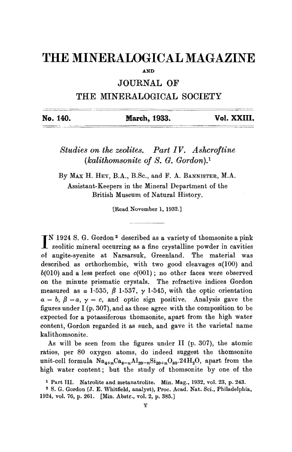## **THE MINERALOGICAL MAGAZINE**

**AND** 

**JOURNAL OF** 

## **THE MINERALOGICAL SOCIETY**

| No. 140. | March, 1933. | Vol. XXIII. |
|----------|--------------|-------------|
|          |              |             |

*Studies on the zeolites. Part IV. Ashcroftine (lcalithomsonite of S. G. Gordon). 1* 

By MAx H. HEY, B.A., B.Sc., and F. A. BANNISTER, M.A. Assistant-Keepers in the Mineral Department of the British Museum of Natural History.

[Read November 1, 1932.]

I<sup>N</sup> 1924 S. G. Gordon <sup>2</sup> described as a variety of thomsonite a pink zeolitic mineral occurring as a fine crystalline powder in cavities of augite-syenite at Narsarsuk, Greenland. The material was described as orthorhombic, with two good cleavages  $a(100)$  and  $b(010)$  and a less perfect one  $c(001)$ ; no other faces were observed on the minute prismatic crystals. The refractive indices Gordon measured as  $\alpha$  1.535,  $\beta$  1.537,  $\gamma$  1.545, with the optic orientation  $a = b, \beta = a, \gamma = c,$  and optic sign positive. Analysis gave the figures under I (p. 307), and as these agree with the composition to be expected for a potassiferous thomsonite, apart from the high water content, Gordon regarded it as such, and gave it the varietal name kalithomsonite.

As will be seen from the figures under II (p. 307), the atomic ratios, per 80 oxygen atoms, do indeed suggest the thomsonite unit-cell formula  $Na_{4+n}Ca_{8-n}Al_{20-n}Si_{20+n}O_{80}.24H_2O$ , apart from the high water content; but the study of thomsonite by one of the

<sup>&</sup>lt;sup>1</sup> Part III. Natrolite and metanatrolite. Min. Mag., 1932, vol. 23, p. 243.

<sup>2</sup> S. G. Gordon (J. E. Whitfield, analyst), Proc. Acad. Nat. Sci., Philadelphia, 1924, vol. 76, p. 261. [Min. Abstr., vol. 2, p. 385.]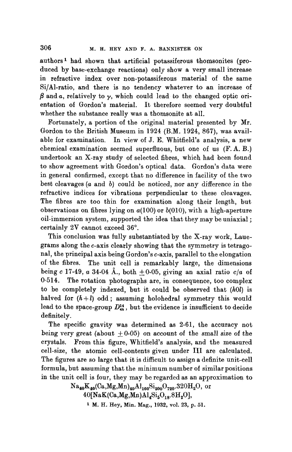authors 1 had shown that artificial potassiferous thomsonites (produced by base-exchange reactions) only show a very small increase in refractive index over non-potassiferous material of the same Si/Al-ratio, and there is no tendency whatever to an increase of  $\beta$  and  $\alpha$ , relatively to  $\gamma$ , which could lead to the changed optic orientation of Gordon's material. It therefore seemed very doubtful whether the substance really was a thomsonite at all.

Fortunately, a portion of the original material presented by Mr. Gordon to the British Museum in 1924 (B.M. 1924, 867), was available for examination, In view of J. E. Whitfield's analysis, a new chemical examination seemed superfluous, but one of us (F. A. B.) undertook an X-ray study of selected fibres, which had been found to show agreement with Gordon's optical data. Gordon's data were in general confirmed, except that no difference in facility of the two best cleavages (a and b) could be noticed, nor any difference in the refractive indices for vibrations perpendicular to these cleavages. The fibres are too thin for examination along their length, but observations on fibres lying on  $a(100)$  or  $b(010)$ , with a high-aperture oil-immersion system, supported the idea that they may be uniaxial ; certainly  $2V$  cannot exceed  $36^\circ$ .

This conclusion was fully substantiated by the X-ray work, Lauegrams along the c-axis clearly showing that the symmetry is tetragonal, the principal axis being Gordon's c-axis, parallel to the elongation of the fibres. The unit cell is remarkably large, the dimensions being c 17.49, a 34.04 Å., both  $\pm 0.05$ , giving an axial ratio  $c/a$  of 0-514. The rotation photographs are, in consequence, too complex to be completely indexed, but it could be observed that *(hOl)* is halved for  $(h+l)$  odd; assuming holohedral symmetry this would lead to the space-group  $D_{4\lambda}^{14}$ , but the evidence is insufficient to decide definitely.

The specific gravity was determined as 2.61, the accuracy not being very great (about  $\pm 0.05$ ) on account of the small size of the crystals. From this figure, Whitfield's analysis, and the measured cell-size, the atomic cell-contents given under III are calculated. The figures are so large that it is difficult to assign a definite unit-cell formula, but assuming that the minimum number of similar positions in the unit cell is four, they may be regarded as an approximation to

> $Na_{40}K_{40}(Ca, Mg, Mn)_{40}Al_{160}Si_{200}O_{720}.320H_2O,$  or  $40$ [NaK(Ca,Mg,Mn)Al<sub>4</sub>Si<sub>5</sub>O<sub>18</sub>.8H<sub>2</sub>O],

<sup>1</sup> M. H. Hey, Min. Mag., 1932, vol. 23, p. 51.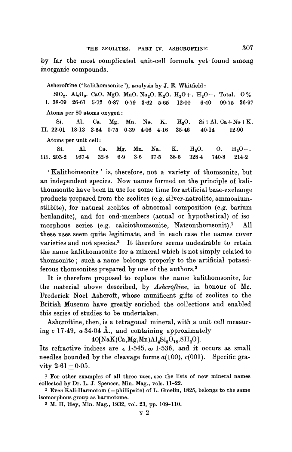by far the most complicated unit-cell formula yet found among inorganic compounds.

Ashcroftine (' kalibhomsonite '), analysis by J. E. Whitfield :

 $SiO_2$ . Al<sub>2</sub>O<sub>3</sub>. CaO, MgO. MnO. Na<sub>2</sub>O. K<sub>2</sub>O. H<sub>2</sub>O+. H<sub>2</sub>O-. Total. 0% I. 38.09 26.61 5.72 0.87 0.79 3.62 5.65 12.00 6.40 99.75 36.97 Atoms per 80 atoms oxygen:

Si. Al. Ca. Mg. Mn. Na. K.  $H_2O$ . Si+Al. Ca+Na+K. II. 22.01 18.13 3.54 0.75 0.39 4.06 4.16 35-46 40.14 12.90 Atoms per unit cell :

|                                                                                                                                                                                       | Si. Al. Ca. Mg. Mn. Na. K. $H_2O$ . O. $H_2O$ . |  |  |  |  |
|---------------------------------------------------------------------------------------------------------------------------------------------------------------------------------------|-------------------------------------------------|--|--|--|--|
| $\text{III. } 203 \cdot 2 \quad 167 \cdot 4 \quad 32 \cdot 8 \quad 6 \cdot 9 \quad 3 \cdot 6 \quad 37 \cdot 5 \quad 38 \cdot 6 \quad 328 \cdot 4 \quad 740 \cdot 8 \quad 214 \cdot 2$ |                                                 |  |  |  |  |

' Kalithomsonite' is, therefore, not a variety of thomsonite, but an independent species. Now names formed on the principle of kalithomsonite have been in use for some time for artificial base-exchange products prepared from the zeolites (e.g. silver-natrolite, ammoniumstilbite), for natural zeolites of abnormal composition (e.g. barium heulandite), and for end-members (actual or hypothetical) of isomorphous series (e.g. calciothomsonite, Natronthomsonit).<sup>1</sup> All these uses seem quite legitimate, and in each case the names cover varieties and not species.<sup>2</sup> It therefore seems undesirable to retain the name kalithomsonite for a mineral which is not simply related to thomsonite ; such a name belongs properly to the artificial potassiferous thomsonites prepared by one of the authors.<sup>3</sup>

It is therefore proposed to replace the name kalithomsonite, for the material above described, by *Ashcroftine,* in honour of Mr. Frederick Noel Ashcroft, whose munificent gifts of zeolites to the British Museum have greatly enriched the collections and enabled this series of studies to be undertaken.

Ashcroftine, then, is a tetragonal mineral, with a unit cell measuring  $c$  17.49,  $a$  34.04 Å., and containing approximately

 $40$ [NaK(Ca,Mg,Mn)Al<sub>4</sub>Si<sub>5</sub>O<sub>18</sub>.8H<sub>2</sub>O].

Its refractive indices are  $\epsilon$  1.545,  $\omega$  1.536, and it occurs as small needles bounded by the cleavage forms  $a(100)$ ,  $c(001)$ . Specific gravity  $2.61 + 0.05$ .

1 For other examples of all three uses, see the lists of new mineral names collected by Dr. L. J. Spencer, Min. Mag., vols. 11-22.

<sup>2</sup> Even Kali-Harmotom (= phillipsite) of L. Gmelin,  $1825$ , belongs to the same isomorphous group as harmotome.

3 M. H. Hey, Min. Mag., 1932, vol. 23, pp. 109-110.